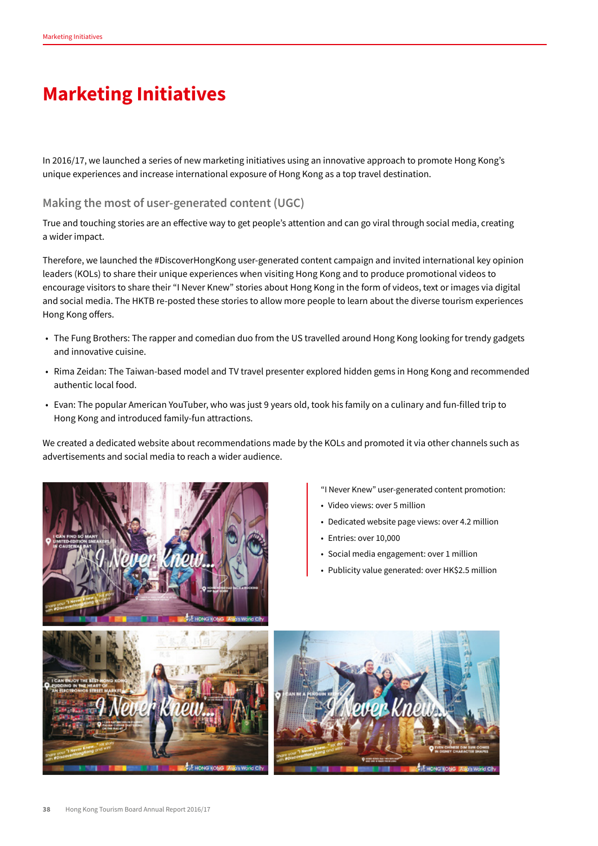## **Marketing Initiatives**

In 2016/17, we launched a series of new marketing initiatives using an innovative approach to promote Hong Kong's unique experiences and increase international exposure of Hong Kong as a top travel destination.

## **Making the most of user-generated content (UGC)**

True and touching stories are an effective way to get people's attention and can go viral through social media, creating a wider impact.

Therefore, we launched the #DiscoverHongKong user-generated content campaign and invited international key opinion leaders (KOLs) to share their unique experiences when visiting Hong Kong and to produce promotional videos to encourage visitors to share their "I Never Knew" stories about Hong Kong in the form of videos, text or images via digital and social media. The HKTB re-posted these stories to allow more people to learn about the diverse tourism experiences Hong Kong offers.

- The Fung Brothers: The rapper and comedian duo from the US travelled around Hong Kong looking for trendy gadgets and innovative cuisine.
- Rima Zeidan: The Taiwan-based model and TV travel presenter explored hidden gems in Hong Kong and recommended authentic local food.
- Evan: The popular American YouTuber, who was just 9 years old, took his family on a culinary and fun-filled trip to Hong Kong and introduced family-fun attractions.

We created a dedicated website about recommendations made by the KOLs and promoted it via other channels such as advertisements and social media to reach a wider audience.





- Dedicated website page views: over 4.2 million
- Entries: over 10,000
- Social media engagement: over 1 million
- Publicity value generated: over HK\$2.5 million